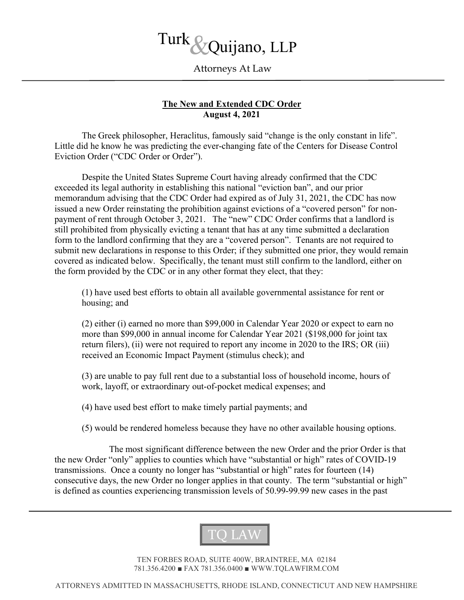

## Attorneys At Law

## The New and Extended CDC Order August 4, 2021

 The Greek philosopher, Heraclitus, famously said "change is the only constant in life". Little did he know he was predicting the ever-changing fate of the Centers for Disease Control Eviction Order ("CDC Order or Order").

Despite the United States Supreme Court having already confirmed that the CDC exceeded its legal authority in establishing this national "eviction ban", and our prior memorandum advising that the CDC Order had expired as of July 31, 2021, the CDC has now issued a new Order reinstating the prohibition against evictions of a "covered person" for nonpayment of rent through October 3, 2021. The "new" CDC Order confirms that a landlord is still prohibited from physically evicting a tenant that has at any time submitted a declaration form to the landlord confirming that they are a "covered person". Tenants are not required to submit new declarations in response to this Order; if they submitted one prior, they would remain covered as indicated below. Specifically, the tenant must still confirm to the landlord, either on the form provided by the CDC or in any other format they elect, that they:

(1) have used best efforts to obtain all available governmental assistance for rent or housing; and

(2) either (i) earned no more than \$99,000 in Calendar Year 2020 or expect to earn no more than \$99,000 in annual income for Calendar Year 2021 (\$198,000 for joint tax return filers), (ii) were not required to report any income in 2020 to the IRS; OR (iii) received an Economic Impact Payment (stimulus check); and

(3) are unable to pay full rent due to a substantial loss of household income, hours of work, layoff, or extraordinary out-of-pocket medical expenses; and

(4) have used best effort to make timely partial payments; and

(5) would be rendered homeless because they have no other available housing options.

 The most significant difference between the new Order and the prior Order is that the new Order "only" applies to counties which have "substantial or high" rates of COVID-19 transmissions. Once a county no longer has "substantial or high" rates for fourteen (14) consecutive days, the new Order no longer applies in that county. The term "substantial or high" is defined as counties experiencing transmission levels of 50.99-99.99 new cases in the past



TEN FORBES ROAD, SUITE 400W, BRAINTREE, MA 02184 781.356.4200 ■ FAX 781.356.0400 ■ WWW.TQLAWFIRM.COM

ATTORNEYS ADMITTED IN MASSACHUSETTS, RHODE ISLAND, CONNECTICUT AND NEW HAMPSHIRE